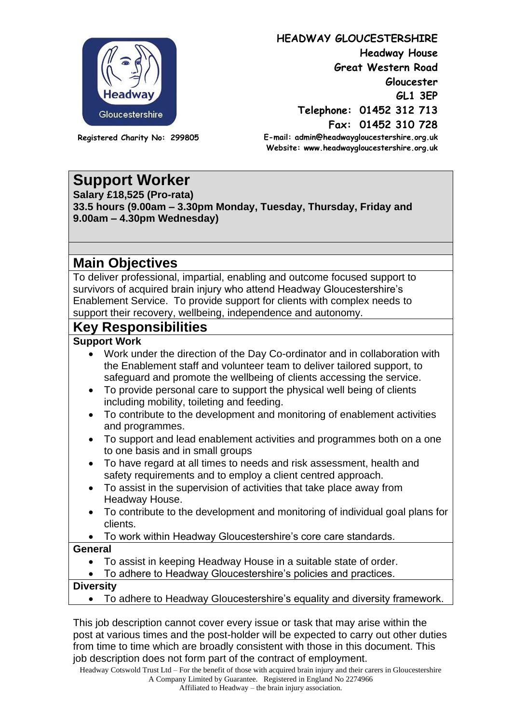

**HEADWAY GLOUCESTERSHIRE Headway House Great Western Road Gloucester GL1 3EP Telephone: 01452 312 713 Fax: 01452 310 728 E-mail: admin@headwaygloucestershire.org.uk Website: www.headwaygloucestershire.org.uk**

**Registered Charity No: 299805**

# **Support Worker**

**Salary £18,525 (Pro-rata) 33.5 hours (9.00am – 3.30pm Monday, Tuesday, Thursday, Friday and 9.00am – 4.30pm Wednesday)**

## **Main Objectives**

To deliver professional, impartial, enabling and outcome focused support to survivors of acquired brain injury who attend Headway Gloucestershire's Enablement Service. To provide support for clients with complex needs to support their recovery, wellbeing, independence and autonomy.

### **Key Responsibilities**

#### **Support Work**

- Work under the direction of the Day Co-ordinator and in collaboration with the Enablement staff and volunteer team to deliver tailored support, to safeguard and promote the wellbeing of clients accessing the service.
- To provide personal care to support the physical well being of clients including mobility, toileting and feeding.
- To contribute to the development and monitoring of enablement activities and programmes.
- To support and lead enablement activities and programmes both on a one to one basis and in small groups
- To have regard at all times to needs and risk assessment, health and safety requirements and to employ a client centred approach.
- To assist in the supervision of activities that take place away from Headway House.
- To contribute to the development and monitoring of individual goal plans for clients.
- To work within Headway Gloucestershire's core care standards.

#### **General**

- To assist in keeping Headway House in a suitable state of order.
- To adhere to Headway Gloucestershire's policies and practices.

#### **Diversity**

• To adhere to Headway Gloucestershire's equality and diversity framework.

This job description cannot cover every issue or task that may arise within the post at various times and the post-holder will be expected to carry out other duties from time to time which are broadly consistent with those in this document. This job description does not form part of the contract of employment.

Headway Cotswold Trust Ltd – For the benefit of those with acquired brain injury and their carers in Gloucestershire A Company Limited by Guarantee. Registered in England No 2274966